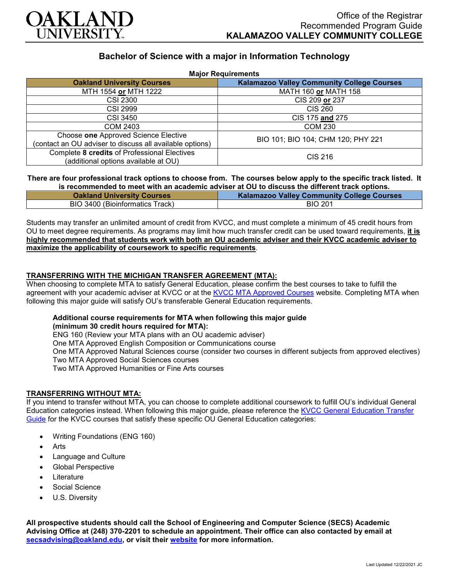

# **Bachelor of Science with a major in Information Technology**

| <b>Major Requirements</b>                                                                        |                                                   |
|--------------------------------------------------------------------------------------------------|---------------------------------------------------|
| <b>Oakland University Courses</b>                                                                | <b>Kalamazoo Valley Community College Courses</b> |
| MTH 1554 or MTH 1222                                                                             | MATH 160 or MATH 158                              |
| CSI 2300                                                                                         | CIS 209 or 237                                    |
| <b>CSI 2999</b>                                                                                  | CIS 260                                           |
| CSI 3450                                                                                         | CIS 175 and 275                                   |
| COM 2403                                                                                         | <b>COM 230</b>                                    |
| Choose one Approved Science Elective<br>(contact an OU adviser to discuss all available options) | BIO 101; BIO 104; CHM 120; PHY 221                |
| Complete 8 credits of Professional Electives<br>(additional options available at OU)             | CIS 216                                           |

### **There are four professional track options to choose from. The courses below apply to the specific track listed. It is recommended to meet with an academic adviser at OU to discuss the different track options.**

| <b>Oakland University Courses</b> | <b>Kalamazoo Valley Community College Courses</b> |
|-----------------------------------|---------------------------------------------------|
| BIO 3400 (Bioinformatics Track)   | <b>BIO 201</b>                                    |

Students may transfer an unlimited amount of credit from KVCC, and must complete a minimum of 45 credit hours from OU to meet degree requirements. As programs may limit how much transfer credit can be used toward requirements, **it is highly recommended that students work with both an OU academic adviser and their KVCC academic adviser to maximize the applicability of coursework to specific requirements**.

## **TRANSFERRING WITH THE MICHIGAN TRANSFER AGREEMENT (MTA):**

When choosing to complete MTA to satisfy General Education, please confirm the best courses to take to fulfill the agreement with your academic adviser at KVCC or at the [KVCC MTA Approved Courses](https://www.kvcc.edu/programs/mta.php) website. Completing MTA when following this major guide will satisfy OU's transferable General Education requirements.

## **Additional course requirements for MTA when following this major guide (minimum 30 credit hours required for MTA):**

ENG 160 (Review your MTA plans with an OU academic adviser) One MTA Approved English Composition or Communications course One MTA Approved Natural Sciences course (consider two courses in different subjects from approved electives) Two MTA Approved Social Sciences courses Two MTA Approved Humanities or Fine Arts courses

### **TRANSFERRING WITHOUT MTA:**

If you intend to transfer without MTA, you can choose to complete additional coursework to fulfill OU's individual General Education categories instead. When following this major guide, please reference the KVCC General Education Transfer [Guide](https://www.oakland.edu/Assets/Oakland/program-guides/kalamazoo-valley-community-college/university-general-education-requirements/Kalamazoo%20Valley%20Gen%20Ed.pdf) for the KVCC courses that satisfy these specific OU General Education categories:

- Writing Foundations (ENG 160)
- **Arts**
- Language and Culture
- Global Perspective
- **Literature**
- Social Science
- U.S. Diversity

**All prospective students should call the School of Engineering and Computer Science (SECS) Academic Advising Office at (248) 370-2201 to schedule an appointment. Their office can also contacted by email at [secsadvising@oakland.edu,](mailto:secsadvising@oakland.edu) or visit their [website](https://wwwp.oakland.edu/secs/advising/) for more information.**